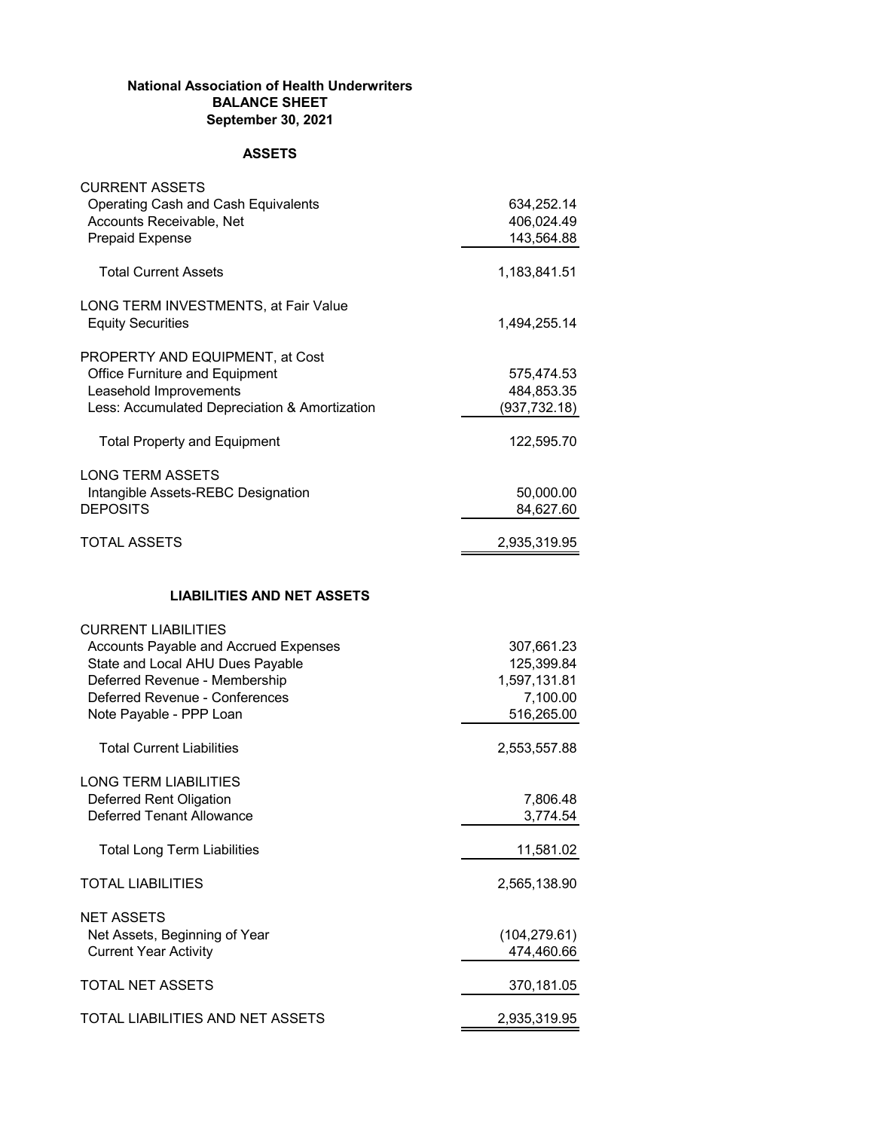## **National Association of Health Underwriters BALANCE SHEET September 30, 2021**

## **ASSETS**

| <b>CURRENT ASSETS</b><br>Operating Cash and Cash Equivalents<br>Accounts Receivable, Net<br><b>Prepaid Expense</b>                                                                                    | 634,252.14<br>406,024.49<br>143,564.88                             |
|-------------------------------------------------------------------------------------------------------------------------------------------------------------------------------------------------------|--------------------------------------------------------------------|
| <b>Total Current Assets</b>                                                                                                                                                                           | 1,183,841.51                                                       |
| LONG TERM INVESTMENTS, at Fair Value<br><b>Equity Securities</b>                                                                                                                                      | 1,494,255.14                                                       |
| PROPERTY AND EQUIPMENT, at Cost<br>Office Furniture and Equipment<br>Leasehold Improvements<br>Less: Accumulated Depreciation & Amortization<br><b>Total Property and Equipment</b>                   | 575,474.53<br>484,853.35<br>(937, 732.18)<br>122,595.70            |
| <b>LONG TERM ASSETS</b><br>Intangible Assets-REBC Designation<br><b>DEPOSITS</b>                                                                                                                      | 50,000.00<br>84,627.60                                             |
| <b>TOTAL ASSETS</b>                                                                                                                                                                                   | 2,935,319.95                                                       |
| <b>LIABILITIES AND NET ASSETS</b>                                                                                                                                                                     |                                                                    |
| <b>CURRENT LIABILITIES</b><br>Accounts Payable and Accrued Expenses<br>State and Local AHU Dues Payable<br>Deferred Revenue - Membership<br>Deferred Revenue - Conferences<br>Note Payable - PPP Loan | 307,661.23<br>125,399.84<br>1,597,131.81<br>7,100.00<br>516,265.00 |
| <b>Total Current Liabilities</b>                                                                                                                                                                      | 2,553,557.88                                                       |
| <b>LONG TERM LIABILITIES</b><br>Deferred Rent Oligation<br><b>Deferred Tenant Allowance</b><br><b>Total Long Term Liabilities</b>                                                                     | 7,806.48<br>3,774.54                                               |
| <b>TOTAL LIABILITIES</b>                                                                                                                                                                              | 11,581.02<br>2,565,138.90                                          |
| <b>NET ASSETS</b>                                                                                                                                                                                     |                                                                    |
| Net Assets, Beginning of Year<br><b>Current Year Activity</b>                                                                                                                                         | (104, 279.61)<br>474,460.66                                        |
| <b>TOTAL NET ASSETS</b>                                                                                                                                                                               | 370,181.05                                                         |
| TOTAL LIABILITIES AND NET ASSETS                                                                                                                                                                      | 2,935,319.95                                                       |